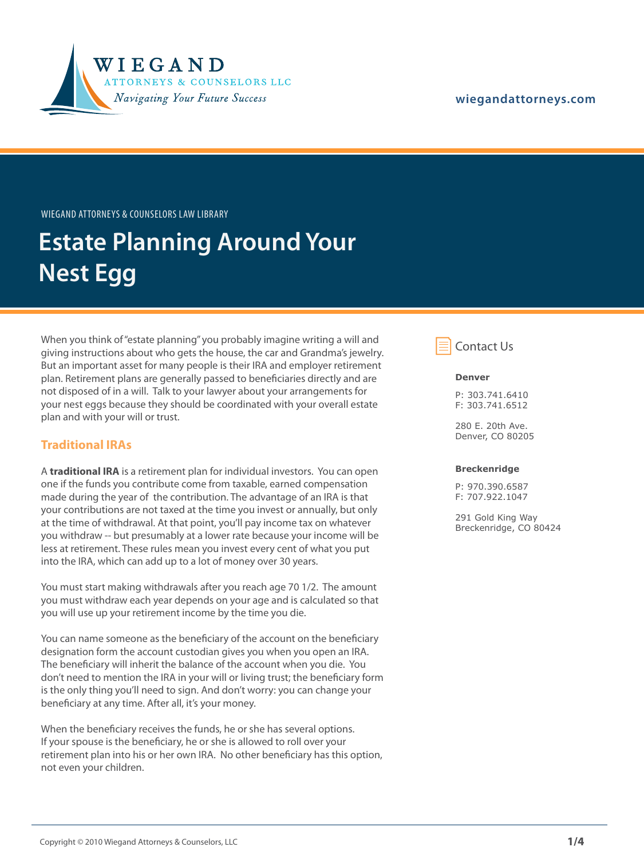

### **[wiegandattorneys.com](http://wiegandattorneys.com/)**

Wiegand Attorneys & Counselors Law Library

# **Estate Planning Around Your Nest Egg**

When you think of "estate planning" you probably imagine writing a will and giving instructions about who gets the house, the car and Grandma's jewelry. But an important asset for many people is their IRA and employer retirement plan. Retirement plans are generally passed to beneficiaries directly and are not disposed of in a will. Talk to your lawyer about your arrangements for your nest eggs because they should be coordinated with your overall estate plan and with your will or trust.

### **Traditional IRAs**

A **traditional IRA** is a retirement plan for individual investors. You can open one if the funds you contribute come from taxable, earned compensation made during the year of the contribution. The advantage of an IRA is that your contributions are not taxed at the time you invest or annually, but only at the time of withdrawal. At that point, you'll pay income tax on whatever you withdraw -- but presumably at a lower rate because your income will be less at retirement. These rules mean you invest every cent of what you put into the IRA, which can add up to a lot of money over 30 years.

You must start making withdrawals after you reach age 70 1/2. The amount you must withdraw each year depends on your age and is calculated so that you will use up your retirement income by the time you die.

You can name someone as the beneficiary of the account on the beneficiary designation form the account custodian gives you when you open an IRA. The beneficiary will inherit the balance of the account when you die. You don't need to mention the IRA in your will or living trust; the beneficiary form is the only thing you'll need to sign. And don't worry: you can change your beneficiary at any time. After all, it's your money.

When the beneficiary receives the funds, he or she has several options. If your spouse is the beneficiary, he or she is allowed to roll over your retirement plan into his or her own IRA. No other beneficiary has this option, not even your children.



#### **Denver**

P: 303.741.6410 F: 303.741.6512

280 E. 20th Ave. Denver, CO 80205

#### **Breckenridge**

P: 970.390.6587 F: 707.922.1047

291 Gold King Way Breckenridge, CO 80424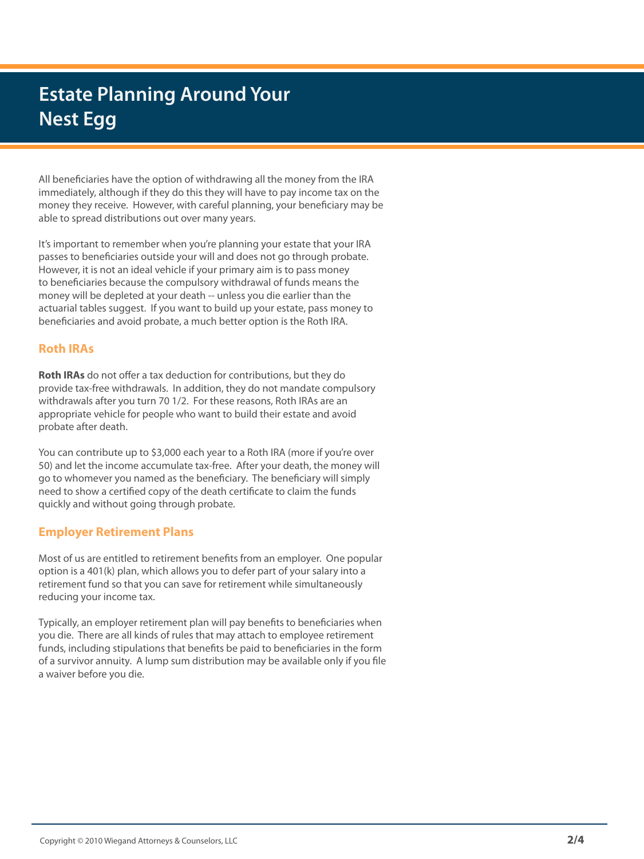## **Estate Planning Around Your Nest Egg**

All beneficiaries have the option of withdrawing all the money from the IRA immediately, although if they do this they will have to pay income tax on the money they receive. However, with careful planning, your beneficiary may be able to spread distributions out over many years.

It's important to remember when you're planning your estate that your IRA passes to beneficiaries outside your will and does not go through probate. However, it is not an ideal vehicle if your primary aim is to pass money to beneficiaries because the compulsory withdrawal of funds means the money will be depleted at your death -- unless you die earlier than the actuarial tables suggest. If you want to build up your estate, pass money to beneficiaries and avoid probate, a much better option is the Roth IRA.

### **Roth IRAs**

**Roth IRAs** do not offer a tax deduction for contributions, but they do provide tax-free withdrawals. In addition, they do not mandate compulsory withdrawals after you turn 70 1/2. For these reasons, Roth IRAs are an appropriate vehicle for people who want to build their estate and avoid probate after death.

You can contribute up to \$3,000 each year to a Roth IRA (more if you're over 50) and let the income accumulate tax-free. After your death, the money will go to whomever you named as the beneficiary. The beneficiary will simply need to show a certified copy of the death certificate to claim the funds quickly and without going through probate.

### **Employer Retirement Plans**

Most of us are entitled to retirement benefits from an employer. One popular option is a 401(k) plan, which allows you to defer part of your salary into a retirement fund so that you can save for retirement while simultaneously reducing your income tax.

Typically, an employer retirement plan will pay benefits to beneficiaries when you die. There are all kinds of rules that may attach to employee retirement funds, including stipulations that benefits be paid to beneficiaries in the form of a survivor annuity. A lump sum distribution may be available only if you file a waiver before you die.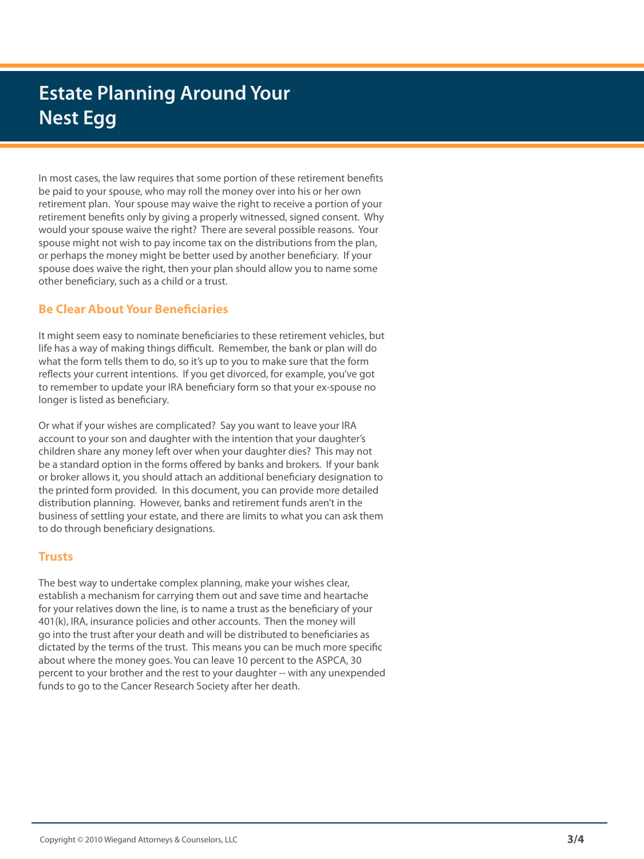## **Estate Planning Around Your Nest Egg**

In most cases, the law requires that some portion of these retirement benefits be paid to your spouse, who may roll the money over into his or her own retirement plan. Your spouse may waive the right to receive a portion of your retirement benefits only by giving a properly witnessed, signed consent. Why would your spouse waive the right? There are several possible reasons. Your spouse might not wish to pay income tax on the distributions from the plan, or perhaps the money might be better used by another beneficiary. If your spouse does waive the right, then your plan should allow you to name some other beneficiary, such as a child or a trust.

### **Be Clear About Your Beneficiaries**

It might seem easy to nominate beneficiaries to these retirement vehicles, but life has a way of making things difficult. Remember, the bank or plan will do what the form tells them to do, so it's up to you to make sure that the form reflects your current intentions. If you get divorced, for example, you've got to remember to update your IRA beneficiary form so that your ex-spouse no longer is listed as beneficiary.

Or what if your wishes are complicated? Say you want to leave your IRA account to your son and daughter with the intention that your daughter's children share any money left over when your daughter dies? This may not be a standard option in the forms offered by banks and brokers. If your bank or broker allows it, you should attach an additional beneficiary designation to the printed form provided. In this document, you can provide more detailed distribution planning. However, banks and retirement funds aren't in the business of settling your estate, and there are limits to what you can ask them to do through beneficiary designations.

### **Trusts**

The best way to undertake complex planning, make your wishes clear, establish a mechanism for carrying them out and save time and heartache for your relatives down the line, is to name a trust as the beneficiary of your 401(k), IRA, insurance policies and other accounts. Then the money will go into the trust after your death and will be distributed to beneficiaries as dictated by the terms of the trust. This means you can be much more specific about where the money goes. You can leave 10 percent to the ASPCA, 30 percent to your brother and the rest to your daughter -- with any unexpended funds to go to the Cancer Research Society after her death.